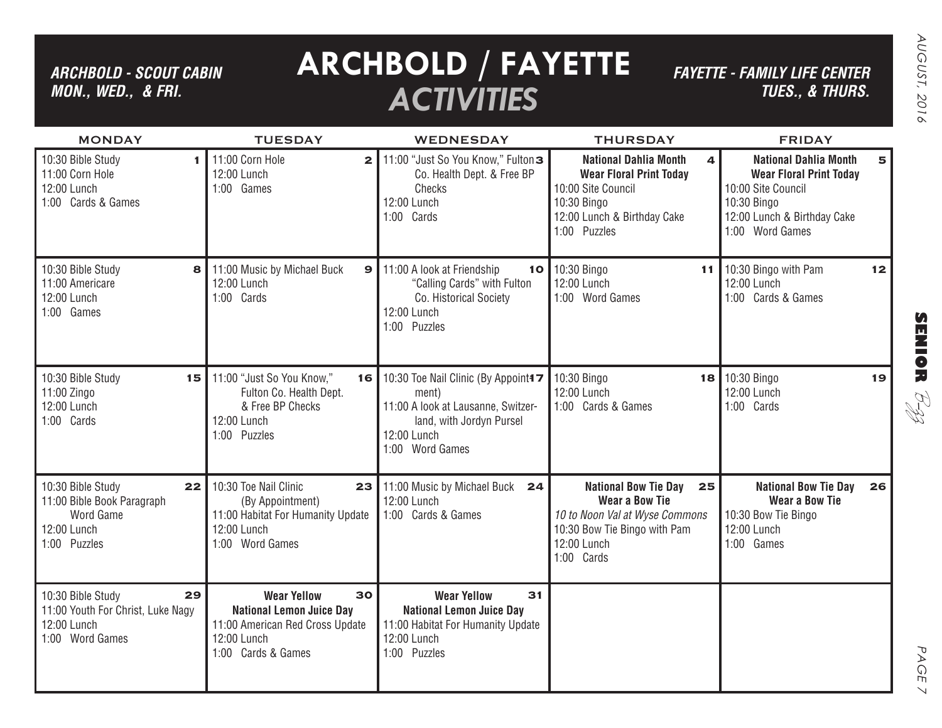## *ARCHBOLD - SCOUT CABIN MON., WED., & FRI.*

# **ARCHBOLD / FAYETTE** *ACTIVITIES*

*FAYETTE - FAMILY LIFE CENTER TUES., & THURS.*

| <b>MONDAY</b>                                                                                     | <b>TUESDAY</b>                                                                                                                      | <b>WEDNESDAY</b>                                                                                                                                            | <b>THURSDAY</b>                                                                                                                                           | <b>FRIDAY</b>                                                                                                                                              |
|---------------------------------------------------------------------------------------------------|-------------------------------------------------------------------------------------------------------------------------------------|-------------------------------------------------------------------------------------------------------------------------------------------------------------|-----------------------------------------------------------------------------------------------------------------------------------------------------------|------------------------------------------------------------------------------------------------------------------------------------------------------------|
| 10:30 Bible Study<br>1<br>11:00 Corn Hole<br>12:00 Lunch<br>1:00 Cards & Games                    | 11:00 Corn Hole<br>$\mathbf{2}$<br>12:00 Lunch<br>1:00 Games                                                                        | 11:00 "Just So You Know," Fulton <sup>3</sup><br>Co. Health Dept. & Free BP<br>Checks<br>12:00 Lunch<br>1:00 Cards                                          | <b>National Dahlia Month</b><br>4<br><b>Wear Floral Print Today</b><br>10:00 Site Council<br>10:30 Bingo<br>12:00 Lunch & Birthday Cake<br>1:00 Puzzles   | <b>National Dahlia Month</b><br>5<br><b>Wear Floral Print Today</b><br>10:00 Site Council<br>10:30 Bingo<br>12:00 Lunch & Birthday Cake<br>1:00 Word Games |
| 10:30 Bible Study<br>8<br>11:00 Americare<br>12:00 Lunch<br>1:00 Games                            | 11:00 Music by Michael Buck<br>$\mathbf{9}$<br>12:00 Lunch<br>1:00 Cards                                                            | 11:00 A look at Friendship<br>10<br>"Calling Cards" with Fulton<br>Co. Historical Society<br>12:00 Lunch<br>1:00 Puzzles                                    | 10:30 Bingo<br>11<br>12:00 Lunch<br>1:00 Word Games                                                                                                       | 10:30 Bingo with Pam<br>12<br>12:00 Lunch<br>1:00 Cards & Games                                                                                            |
| 10:30 Bible Study<br>15<br>11:00 Zingo<br>12:00 Lunch<br>1:00 Cards                               | 11:00 "Just So You Know,"<br>16 <br>Fulton Co. Health Dept.<br>& Free BP Checks<br>12:00 Lunch<br>1:00 Puzzles                      | 10:30 Toe Nail Clinic (By Appoint <sup>4</sup><br>ment)<br>11:00 A look at Lausanne, Switzer-<br>land, with Jordyn Pursel<br>12:00 Lunch<br>1:00 Word Games | 10:30 Bingo<br>18 I<br>12:00 Lunch<br>1:00 Cards & Games                                                                                                  | 10:30 Bingo<br>19<br>12:00 Lunch<br>1:00 Cards                                                                                                             |
| 10:30 Bible Study<br>22<br>11:00 Bible Book Paragraph<br>Word Game<br>12:00 Lunch<br>1:00 Puzzles | 10:30 Toe Nail Clinic<br>23<br>(By Appointment)<br>11:00 Habitat For Humanity Update<br>12:00 Lunch<br>1:00 Word Games              | 11:00 Music by Michael Buck 24<br>12:00 Lunch<br>1:00 Cards & Games                                                                                         | <b>National Bow Tie Day</b><br>25<br><b>Wear a Bow Tie</b><br>10 to Noon Val at Wyse Commons<br>10:30 Bow Tie Bingo with Pam<br>12:00 Lunch<br>1:00 Cards | <b>National Bow Tie Day</b><br>26<br><b>Wear a Bow Tie</b><br>10:30 Bow Tie Bingo<br>12:00 Lunch<br>1:00 Games                                             |
| 29<br>10:30 Bible Study<br>11:00 Youth For Christ, Luke Nagy<br>12:00 Lunch<br>1:00 Word Games    | 30<br><b>Wear Yellow</b><br><b>National Lemon Juice Day</b><br>11:00 American Red Cross Update<br>12:00 Lunch<br>1:00 Cards & Games | 31<br><b>Wear Yellow</b><br><b>National Lemon Juice Day</b><br>11:00 Habitat For Humanity Update<br>12:00 Lunch<br>1:00 Puzzles                             |                                                                                                                                                           |                                                                                                                                                            |

**SENIOR** B-zz

> PAGE PAGE 7  $\searrow$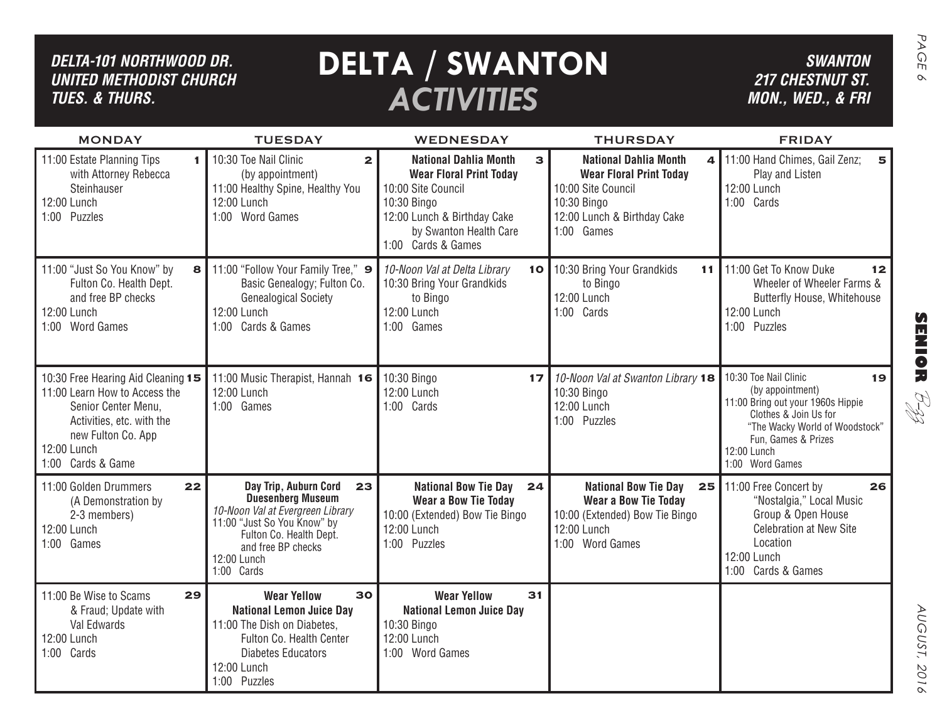| DELTA-101 NORTHWOOD DR.<br><b>UNITED METHODIST CHURCH</b><br><b>TUES. &amp; THURS.</b>                                                                                            |                                                                                                                                                                                                          | <b>DELTA / SWANTON</b><br><b>ACTIVITIES</b>                                                                                                        |                                                                                                                                      | <b>SWANTON</b><br><b>217 CHESTNUT ST.</b><br>MON., WED., & FRI                                                                                                                                           | PAGE<br>$\infty$ |
|-----------------------------------------------------------------------------------------------------------------------------------------------------------------------------------|----------------------------------------------------------------------------------------------------------------------------------------------------------------------------------------------------------|----------------------------------------------------------------------------------------------------------------------------------------------------|--------------------------------------------------------------------------------------------------------------------------------------|----------------------------------------------------------------------------------------------------------------------------------------------------------------------------------------------------------|------------------|
| <b>MONDAY</b><br>11:00 Estate Planning Tips                                                                                                                                       | <b>TUESDAY</b><br>10:30 Toe Nail Clinic<br>$\mathbf{2}$                                                                                                                                                  | WEDNESDAY<br><b>National Dahlia Month</b><br>3                                                                                                     | <b>THURSDAY</b><br><b>National Dahlia Month</b><br>4                                                                                 | <b>FRIDAY</b><br>11:00 Hand Chimes, Gail Zenz;<br>5                                                                                                                                                      |                  |
| with Attorney Rebecca<br>Steinhauser<br>12:00 Lunch<br>1:00 Puzzles                                                                                                               | (by appointment)<br>11:00 Healthy Spine, Healthy You<br>12:00 Lunch<br>1:00 Word Games                                                                                                                   | <b>Wear Floral Print Today</b><br>10:00 Site Council<br>10:30 Bingo<br>12:00 Lunch & Birthday Cake<br>by Swanton Health Care<br>1:00 Cards & Games | <b>Wear Floral Print Today</b><br>10:00 Site Council<br>10:30 Bingo<br>12:00 Lunch & Birthday Cake<br>1:00 Games                     | Play and Listen<br>12:00 Lunch<br>1:00 Cards                                                                                                                                                             |                  |
| 11:00 "Just So You Know" by<br>8<br>Fulton Co. Health Dept.<br>and free BP checks<br>12:00 Lunch<br>1:00 Word Games                                                               | 11:00 "Follow Your Family Tree," 9<br>Basic Genealogy; Fulton Co.<br><b>Genealogical Society</b><br>12:00 Lunch<br>1:00 Cards & Games                                                                    | 10-Noon Val at Delta Library<br>10 I<br>10:30 Bring Your Grandkids<br>to Bingo<br>12:00 Lunch<br>1:00 Games                                        | 10:30 Bring Your Grandkids<br>11<br>to Bingo<br>12:00 Lunch<br>1:00 Cards                                                            | 11:00 Get To Know Duke<br>12<br>Wheeler of Wheeler Farms &<br><b>Butterfly House, Whitehouse</b><br>12:00 Lunch<br>1:00 Puzzles                                                                          | <b>SENSE</b>     |
| 10:30 Free Hearing Aid Cleaning 15<br>11:00 Learn How to Access the<br>Senior Center Menu,<br>Activities, etc. with the<br>new Fulton Co. App<br>12:00 Lunch<br>1:00 Cards & Game | 11:00 Music Therapist, Hannah 16<br>12:00 Lunch<br>1:00 Games                                                                                                                                            | 10:30 Bingo<br>17 <sup>1</sup><br>12:00 Lunch<br>1:00 Cards                                                                                        | 10-Noon Val at Swanton Library 18<br>10:30 Bingo<br>12:00 Lunch<br>1:00 Puzzles                                                      | 10:30 Toe Nail Clinic<br>19<br>(by appointment)<br>11:00 Bring out your 1960s Hippie<br>Clothes & Join Us for<br>"The Wacky World of Woodstock"<br>Fun, Games & Prizes<br>12:00 Lunch<br>1:00 Word Games | RH<br>H          |
| 11:00 Golden Drummers<br>22<br>(A Demonstration by<br>2-3 members)<br>12:00 Lunch<br>1:00 Games                                                                                   | Day Trip, Auburn Cord<br>23<br><b>Duesenberg Museum</b><br>10-Noon Val at Evergreen Library<br>11:00 "Just So You Know" by<br>Fulton Co. Health Dept.<br>and free BP checks<br>12:00 Lunch<br>1:00 Cards | <b>National Bow Tie Day</b><br>24<br><b>Wear a Bow Tie Today</b><br>10:00 (Extended) Bow Tie Bingo<br>12:00 Lunch<br>1:00 Puzzles                  | <b>National Bow Tie Day</b><br>25<br><b>Wear a Bow Tie Today</b><br>10:00 (Extended) Bow Tie Bingo<br>12:00 Lunch<br>1:00 Word Games | 11:00 Free Concert by<br>26<br>"Nostalgia," Local Music<br>Group & Open House<br><b>Celebration at New Site</b><br>Location<br>12:00 Lunch<br>1:00 Cards & Games                                         |                  |
| 29<br>11:00 Be Wise to Scams<br>& Fraud; Update with<br>Val Edwards<br>12:00 Lunch<br>1:00 Cards                                                                                  | 30<br><b>Wear Yellow</b><br><b>National Lemon Juice Day</b><br>11:00 The Dish on Diabetes,<br>Fulton Co. Health Center<br><b>Diabetes Educators</b><br>12:00 Lunch<br>1:00 Puzzles                       | 31<br><b>Wear Yellow</b><br><b>National Lemon Juice Day</b><br>10:30 Bingo<br>12:00 Lunch<br>1:00 Word Games                                       |                                                                                                                                      |                                                                                                                                                                                                          | AUGUST,<br>2016  |